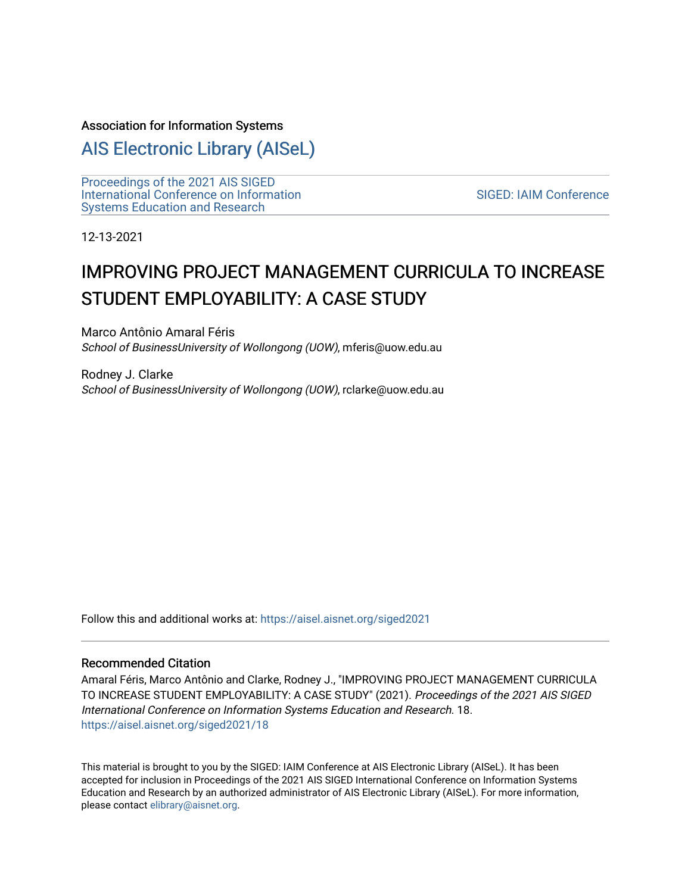#### Association for Information Systems

## [AIS Electronic Library \(AISeL\)](https://aisel.aisnet.org/)

[Proceedings of the 2021 AIS SIGED](https://aisel.aisnet.org/siged2021) [International Conference on Information](https://aisel.aisnet.org/siged2021) [Systems Education and Research](https://aisel.aisnet.org/siged2021) 

[SIGED: IAIM Conference](https://aisel.aisnet.org/siged) 

12-13-2021

# IMPROVING PROJECT MANAGEMENT CURRICULA TO INCREASE STUDENT EMPLOYABILITY: A CASE STUDY

Marco Antônio Amaral Féris School of BusinessUniversity of Wollongong (UOW), mferis@uow.edu.au

Rodney J. Clarke School of BusinessUniversity of Wollongong (UOW), rclarke@uow.edu.au

Follow this and additional works at: [https://aisel.aisnet.org/siged2021](https://aisel.aisnet.org/siged2021?utm_source=aisel.aisnet.org%2Fsiged2021%2F18&utm_medium=PDF&utm_campaign=PDFCoverPages) 

#### Recommended Citation

Amaral Féris, Marco Antônio and Clarke, Rodney J., "IMPROVING PROJECT MANAGEMENT CURRICULA TO INCREASE STUDENT EMPLOYABILITY: A CASE STUDY" (2021). Proceedings of the 2021 AIS SIGED International Conference on Information Systems Education and Research. 18. [https://aisel.aisnet.org/siged2021/18](https://aisel.aisnet.org/siged2021/18?utm_source=aisel.aisnet.org%2Fsiged2021%2F18&utm_medium=PDF&utm_campaign=PDFCoverPages)

This material is brought to you by the SIGED: IAIM Conference at AIS Electronic Library (AISeL). It has been accepted for inclusion in Proceedings of the 2021 AIS SIGED International Conference on Information Systems Education and Research by an authorized administrator of AIS Electronic Library (AISeL). For more information, please contact [elibrary@aisnet.org](mailto:elibrary@aisnet.org%3E).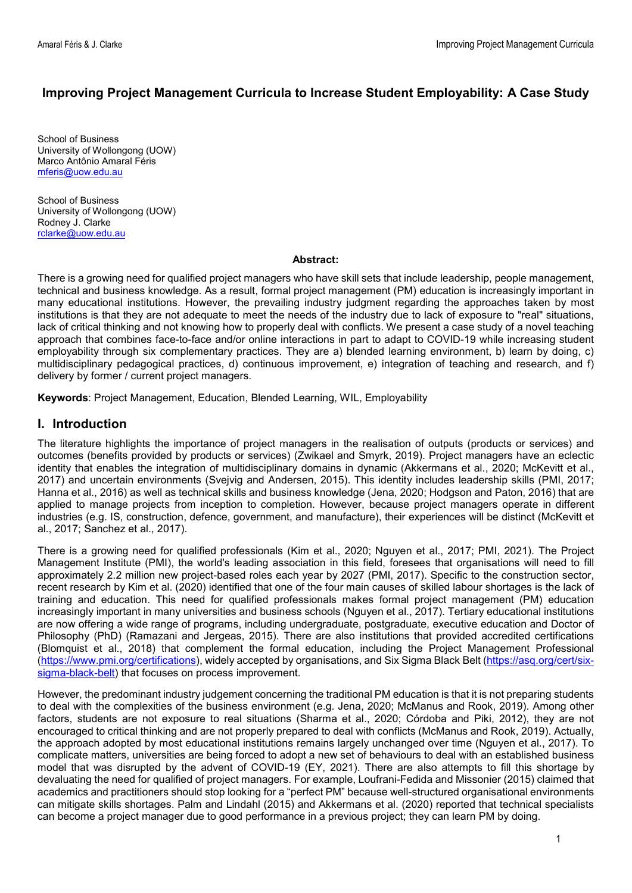## **Improving Project Management Curricula to Increase Student Employability: A Case Study**

School of Business University of Wollongong (UOW) Marco Antônio Amaral Féris [mferis@uow.edu.au](mailto:mferis@uow.edu.au)

School of Business University of Wollongong (UOW) Rodney J. Clarke [rclarke@uow.edu.au](mailto:rclarke@uow.edu.au)

#### **Abstract:**

There is a growing need for qualified project managers who have skill sets that include leadership, people management, technical and business knowledge. As a result, formal project management (PM) education is increasingly important in many educational institutions. However, the prevailing industry judgment regarding the approaches taken by most institutions is that they are not adequate to meet the needs of the industry due to lack of exposure to "real" situations, lack of critical thinking and not knowing how to properly deal with conflicts. We present a case study of a novel teaching approach that combines face-to-face and/or online interactions in part to adapt to COVID-19 while increasing student employability through six complementary practices. They are a) blended learning environment, b) learn by doing, c) multidisciplinary pedagogical practices, d) continuous improvement, e) integration of teaching and research, and f) delivery by former / current project managers.

**Keywords**: Project Management, Education, Blended Learning, WIL, Employability

#### **I. Introduction**

The literature highlights the importance of project managers in the realisation of outputs (products or services) and outcomes (benefits provided by products or services) (Zwikael and Smyrk, 2019). Project managers have an eclectic identity that enables the integration of multidisciplinary domains in dynamic (Akkermans et al., 2020; McKevitt et al., 2017) and uncertain environments (Svejvig and Andersen, 2015). This identity includes leadership skills (PMI, 2017; Hanna et al., 2016) as well as technical skills and business knowledge (Jena, 2020; Hodgson and Paton, 2016) that are applied to manage projects from inception to completion. However, because project managers operate in different industries (e.g. IS, construction, defence, government, and manufacture), their experiences will be distinct (McKevitt et al., 2017; Sanchez et al., 2017).

There is a growing need for qualified professionals (Kim et al., 2020; Nguyen et al., 2017; PMI, 2021). The Project Management Institute (PMI), the world's leading association in this field, foresees that organisations will need to fill approximately 2.2 million new project-based roles each year by 2027 (PMI, 2017). Specific to the construction sector, recent research by Kim et al. (2020) identified that one of the four main causes of skilled labour shortages is the lack of training and education. This need for qualified professionals makes formal project management (PM) education increasingly important in many universities and business schools (Nguyen et al., 2017). Tertiary educational institutions are now offering a wide range of programs, including undergraduate, postgraduate, executive education and Doctor of Philosophy (PhD) (Ramazani and Jergeas, 2015). There are also institutions that provided accredited certifications (Blomquist et al., 2018) that complement the formal education, including the Project Management Professional [\(https://www.pmi.org/certifications\)](https://www.pmi.org/certifications), widely accepted by organisations, and Six Sigma Black Belt [\(https://asq.org/cert/six](https://asq.org/cert/six-sigma-black-belt)[sigma-black-belt\)](https://asq.org/cert/six-sigma-black-belt) that focuses on process improvement.

However, the predominant industry judgement concerning the traditional PM education is that it is not preparing students to deal with the complexities of the business environment (e.g. Jena, 2020; McManus and Rook, 2019). Among other factors, students are not exposure to real situations (Sharma et al., 2020; Córdoba and Piki, 2012), they are not encouraged to critical thinking and are not properly prepared to deal with conflicts (McManus and Rook, 2019). Actually, the approach adopted by most educational institutions remains largely unchanged over time (Nguyen et al., 2017). To complicate matters, universities are being forced to adopt a new set of behaviours to deal with an established business model that was disrupted by the advent of COVID-19 (EY, 2021). There are also attempts to fill this shortage by devaluating the need for qualified of project managers. For example, Loufrani-Fedida and Missonier (2015) claimed that academics and practitioners should stop looking for a "perfect PM" because well-structured organisational environments can mitigate skills shortages. Palm and Lindahl (2015) and Akkermans et al. (2020) reported that technical specialists can become a project manager due to good performance in a previous project; they can learn PM by doing.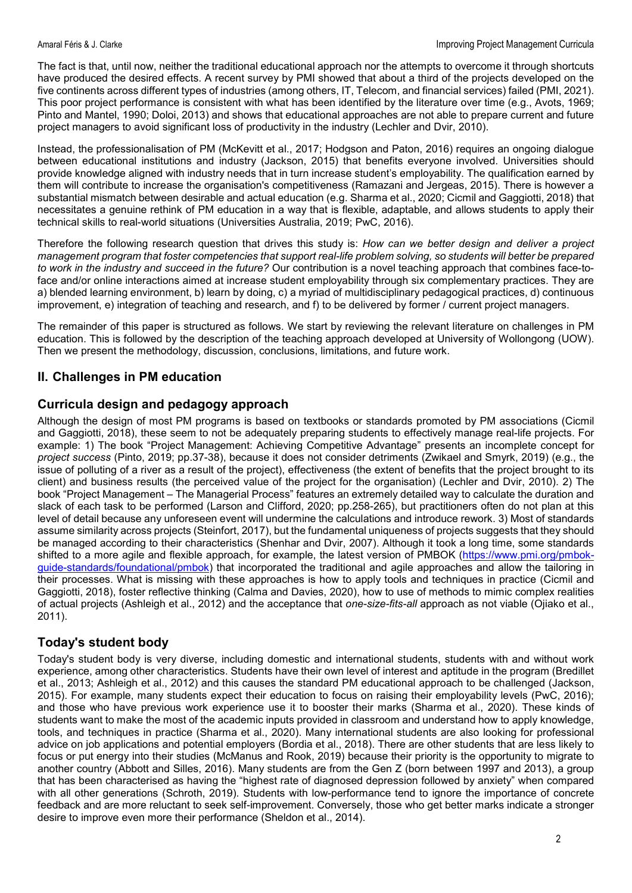The fact is that, until now, neither the traditional educational approach nor the attempts to overcome it through shortcuts have produced the desired effects. A recent survey by PMI showed that about a third of the projects developed on the five continents across different types of industries (among others, IT, Telecom, and financial services) failed (PMI, 2021). This poor project performance is consistent with what has been identified by the literature over time (e.g., Avots, 1969; Pinto and Mantel, 1990; Doloi, 2013) and shows that educational approaches are not able to prepare current and future project managers to avoid significant loss of productivity in the industry (Lechler and Dvir, 2010).

Instead, the professionalisation of PM (McKevitt et al., 2017; Hodgson and Paton, 2016) requires an ongoing dialogue between educational institutions and industry (Jackson, 2015) that benefits everyone involved. Universities should provide knowledge aligned with industry needs that in turn increase student's employability. The qualification earned by them will contribute to increase the organisation's competitiveness (Ramazani and Jergeas, 2015). There is however a substantial mismatch between desirable and actual education (e.g. Sharma et al., 2020; Cicmil and Gaggiotti, 2018) that necessitates a genuine rethink of PM education in a way that is flexible, adaptable, and allows students to apply their technical skills to real-world situations (Universities Australia, 2019; PwC, 2016).

Therefore the following research question that drives this study is: *How can we better design and deliver a project management program that foster competencies that support real-life problem solving, so students will better be prepared to work in the industry and succeed in the future?* Our contribution is a novel teaching approach that combines face-toface and/or online interactions aimed at increase student employability through six complementary practices. They are a) blended learning environment, b) learn by doing, c) a myriad of multidisciplinary pedagogical practices, d) continuous improvement, e) integration of teaching and research, and f) to be delivered by former / current project managers.

The remainder of this paper is structured as follows. We start by reviewing the relevant literature on challenges in PM education. This is followed by the description of the teaching approach developed at University of Wollongong (UOW). Then we present the methodology, discussion, conclusions, limitations, and future work.

## **II. Challenges in PM education**

#### **Curricula design and pedagogy approach**

Although the design of most PM programs is based on textbooks or standards promoted by PM associations (Cicmil and Gaggiotti, 2018), these seem to not be adequately preparing students to effectively manage real-life projects. For example: 1) The book "Project Management: Achieving Competitive Advantage" presents an incomplete concept for *project success* (Pinto, 2019; pp.37-38), because it does not consider detriments (Zwikael and Smyrk, 2019) (e.g., the issue of polluting of a river as a result of the project), effectiveness (the extent of benefits that the project brought to its client) and business results (the perceived value of the project for the organisation) (Lechler and Dvir, 2010). 2) The book "Project Management – The Managerial Process" features an extremely detailed way to calculate the duration and slack of each task to be performed (Larson and Clifford, 2020; pp.258-265), but practitioners often do not plan at this level of detail because any unforeseen event will undermine the calculations and introduce rework. 3) Most of standards assume similarity across projects (Steinfort, 2017), but the fundamental uniqueness of projects suggests that they should be managed according to their characteristics (Shenhar and Dvir, 2007). Although it took a long time, some standards shifted to a more agile and flexible approach, for example, the latest version of PMBOK [\(https://www.pmi.org/pmbok](https://www.pmi.org/pmbok-guide-standards/foundational/pmbok)[guide-standards/foundational/pmbok\)](https://www.pmi.org/pmbok-guide-standards/foundational/pmbok) that incorporated the traditional and agile approaches and allow the tailoring in their processes. What is missing with these approaches is how to apply tools and techniques in practice (Cicmil and Gaggiotti, 2018), foster reflective thinking (Calma and Davies, 2020), how to use of methods to mimic complex realities of actual projects (Ashleigh et al., 2012) and the acceptance that *one-size-fits-all* approach as not viable (Ojiako et al., 2011).

## **Today's student body**

Today's student body is very diverse, including domestic and international students, students with and without work experience, among other characteristics. Students have their own level of interest and aptitude in the program (Bredillet et al., 2013; Ashleigh et al., 2012) and this causes the standard PM educational approach to be challenged (Jackson, 2015). For example, many students expect their education to focus on raising their employability levels (PwC, 2016); and those who have previous work experience use it to booster their marks (Sharma et al., 2020). These kinds of students want to make the most of the academic inputs provided in classroom and understand how to apply knowledge, tools, and techniques in practice (Sharma et al., 2020). Many international students are also looking for professional advice on job applications and potential employers (Bordia et al., 2018). There are other students that are less likely to focus or put energy into their studies (McManus and Rook, 2019) because their priority is the opportunity to migrate to another country (Abbott and Silles, 2016). Many students are from the Gen Z (born between 1997 and 2013), a group that has been characterised as having the "highest rate of diagnosed depression followed by anxiety" when compared with all other generations (Schroth, 2019). Students with low-performance tend to ignore the importance of concrete feedback and are more reluctant to seek self-improvement. Conversely, those who get better marks indicate a stronger desire to improve even more their performance (Sheldon et al., 2014).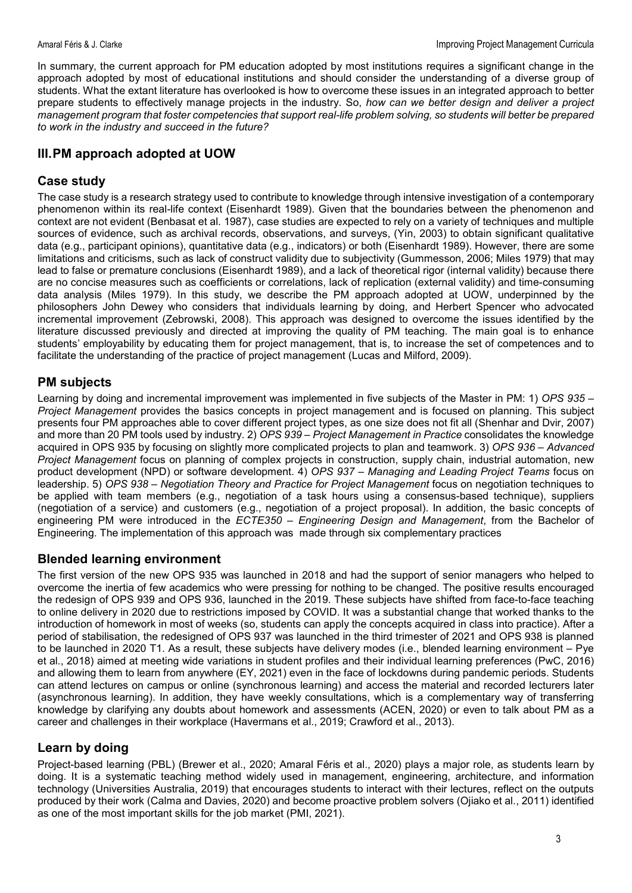In summary, the current approach for PM education adopted by most institutions requires a significant change in the approach adopted by most of educational institutions and should consider the understanding of a diverse group of students. What the extant literature has overlooked is how to overcome these issues in an integrated approach to better prepare students to effectively manage projects in the industry. So, *how can we better design and deliver a project management program that foster competencies that support real-life problem solving, so students will better be prepared to work in the industry and succeed in the future?*

## **III.PM approach adopted at UOW**

## **Case study**

The case study is a research strategy used to contribute to knowledge through intensive investigation of a contemporary phenomenon within its real-life context (Eisenhardt 1989). Given that the boundaries between the phenomenon and context are not evident (Benbasat et al. 1987), case studies are expected to rely on a variety of techniques and multiple sources of evidence, such as archival records, observations, and surveys, (Yin, 2003) to obtain significant qualitative data (e.g., participant opinions), quantitative data (e.g., indicators) or both (Eisenhardt 1989). However, there are some limitations and criticisms, such as lack of construct validity due to subjectivity (Gummesson, 2006; Miles 1979) that may lead to false or premature conclusions (Eisenhardt 1989), and a lack of theoretical rigor (internal validity) because there are no concise measures such as coefficients or correlations, lack of replication (external validity) and time-consuming data analysis (Miles 1979). In this study, we describe the PM approach adopted at UOW, underpinned by the philosophers John Dewey who considers that individuals learning by doing, and Herbert Spencer who advocated incremental improvement (Zebrowski, 2008). This approach was designed to overcome the issues identified by the literature discussed previously and directed at improving the quality of PM teaching. The main goal is to enhance students' employability by educating them for project management, that is, to increase the set of competences and to facilitate the understanding of the practice of project management (Lucas and Milford, 2009).

## **PM subjects**

Learning by doing and incremental improvement was implemented in five subjects of the Master in PM: 1) *OPS 935 – Project Management* provides the basics concepts in project management and is focused on planning. This subject presents four PM approaches able to cover different project types, as one size does not fit all (Shenhar and Dvir, 2007) and more than 20 PM tools used by industry. 2) *OPS 939 – Project Management in Practice* consolidates the knowledge acquired in OPS 935 by focusing on slightly more complicated projects to plan and teamwork. 3) *OPS 936 – Advanced Project Management* focus on planning of complex projects in construction, supply chain, industrial automation, new product development (NPD) or software development. 4) *OPS 937 – Managing and Leading Project Teams* focus on leadership. 5) *OPS 938 – Negotiation Theory and Practice for Project Management* focus on negotiation techniques to be applied with team members (e.g., negotiation of a task hours using a consensus-based technique), suppliers (negotiation of a service) and customers (e.g., negotiation of a project proposal). In addition, the basic concepts of engineering PM were introduced in the *ECTE350 – Engineering Design and Management*, from the Bachelor of Engineering. The implementation of this approach was made through six complementary practices

## **Blended learning environment**

The first version of the new OPS 935 was launched in 2018 and had the support of senior managers who helped to overcome the inertia of few academics who were pressing for nothing to be changed. The positive results encouraged the redesign of OPS 939 and OPS 936, launched in the 2019. These subjects have shifted from face-to-face teaching to online delivery in 2020 due to restrictions imposed by COVID. It was a substantial change that worked thanks to the introduction of homework in most of weeks (so, students can apply the concepts acquired in class into practice). After a period of stabilisation, the redesigned of OPS 937 was launched in the third trimester of 2021 and OPS 938 is planned to be launched in 2020 T1. As a result, these subjects have delivery modes (i.e., blended learning environment – Pye et al., 2018) aimed at meeting wide variations in student profiles and their individual learning preferences (PwC, 2016) and allowing them to learn from anywhere (EY, 2021) even in the face of lockdowns during pandemic periods. Students can attend lectures on campus or online (synchronous learning) and access the material and recorded lecturers later (asynchronous learning). In addition, they have weekly consultations, which is a complementary way of transferring knowledge by clarifying any doubts about homework and assessments (ACEN, 2020) or even to talk about PM as a career and challenges in their workplace (Havermans et al., 2019; Crawford et al., 2013).

## **Learn by doing**

Project-based learning (PBL) (Brewer et al., 2020; Amaral Féris et al., 2020) plays a major role, as students learn by doing. It is a systematic teaching method widely used in management, engineering, architecture, and information technology (Universities Australia, 2019) that encourages students to interact with their lectures, reflect on the outputs produced by their work (Calma and Davies, 2020) and become proactive problem solvers (Ojiako et al., 2011) identified as one of the most important skills for the job market (PMI, 2021).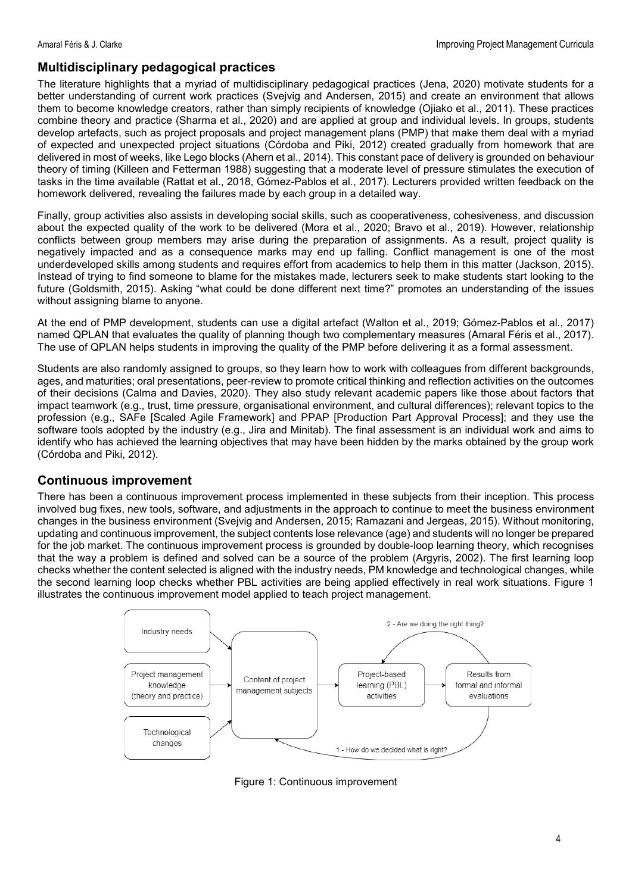#### **Multidisciplinary pedagogical practices**

The literature highlights that a myriad of multidisciplinary pedagogical practices (Jena, 2020) motivate students for a better understanding of current work practices (Svejvig and Andersen, 2015) and create an environment that allows them to become knowledge creators, rather than simply recipients of knowledge (Ojiako et al., 2011). These practices combine theory and practice (Sharma et al., 2020) and are applied at group and individual levels. In groups, students develop artefacts, such as project proposals and project management plans (PMP) that make them deal with a myriad of expected and unexpected project situations (Córdoba and Piki, 2012) created gradually from homework that are delivered in most of weeks, like Lego blocks (Ahern et al., 2014). This constant pace of delivery is grounded on behaviour theory of timing (Killeen and Fetterman 1988) suggesting that a moderate level of pressure stimulates the execution of tasks in the time available (Rattat et al., 2018, Gómez-Pablos et al., 2017). Lecturers provided written feedback on the homework delivered, revealing the failures made by each group in a detailed way.

Finally, group activities also assists in developing social skills, such as cooperativeness, cohesiveness, and discussion about the expected quality of the work to be delivered (Mora et al., 2020; Bravo et al., 2019). However, relationship conflicts between group members may arise during the preparation of assignments. As a result, project quality is negatively impacted and as a consequence marks may end up falling. Conflict management is one of the most underdeveloped skills among students and requires effort from academics to help them in this matter (Jackson, 2015). Instead of trying to find someone to blame for the mistakes made, lecturers seek to make students start looking to the future (Goldsmith, 2015). Asking "what could be done different next time?" promotes an understanding of the issues without assigning blame to anyone.

At the end of PMP development, students can use a digital artefact (Walton et al., 2019; Gómez-Pablos et al., 2017) named QPLAN that evaluates the quality of planning though two complementary measures (Amaral Féris et al., 2017). The use of QPLAN helps students in improving the quality of the PMP before delivering it as a formal assessment.

Students are also randomly assigned to groups, so they learn how to work with colleagues from different backgrounds, ages, and maturities; oral presentations, peer-review to promote critical thinking and reflection activities on the outcomes of their decisions (Calma and Davies, 2020). They also study relevant academic papers like those about factors that impact teamwork (e.g., trust, time pressure, organisational environment, and cultural differences); relevant topics to the profession (e.g., SAFe [Scaled Agile Framework] and PPAP [Production Part Approval Process]; and they use the software tools adopted by the industry (e.g., Jira and Minitab). The final assessment is an individual work and aims to identify who has achieved the learning objectives that may have been hidden by the marks obtained by the group work (Córdoba and Piki, 2012).

#### **Continuous improvement**

There has been a continuous improvement process implemented in these subjects from their inception. This process involved bug fixes, new tools, software, and adjustments in the approach to continue to meet the business environment changes in the business environment (Svejvig and Andersen, 2015; Ramazani and Jergeas, 2015). Without monitoring, updating and continuous improvement, the subject contents lose relevance (age) and students will no longer be prepared for the job market. The continuous improvement process is grounded by double-loop learning theory, which recognises that the way a problem is defined and solved can be a source of the problem (Argyris, 2002). The first learning loop checks whether the content selected is aligned with the industry needs, PM knowledge and technological changes, while the second learning loop checks whether PBL activities are being applied effectively in real work situations. Figure 1 illustrates the continuous improvement model applied to teach project management.



Figure 1: Continuous improvement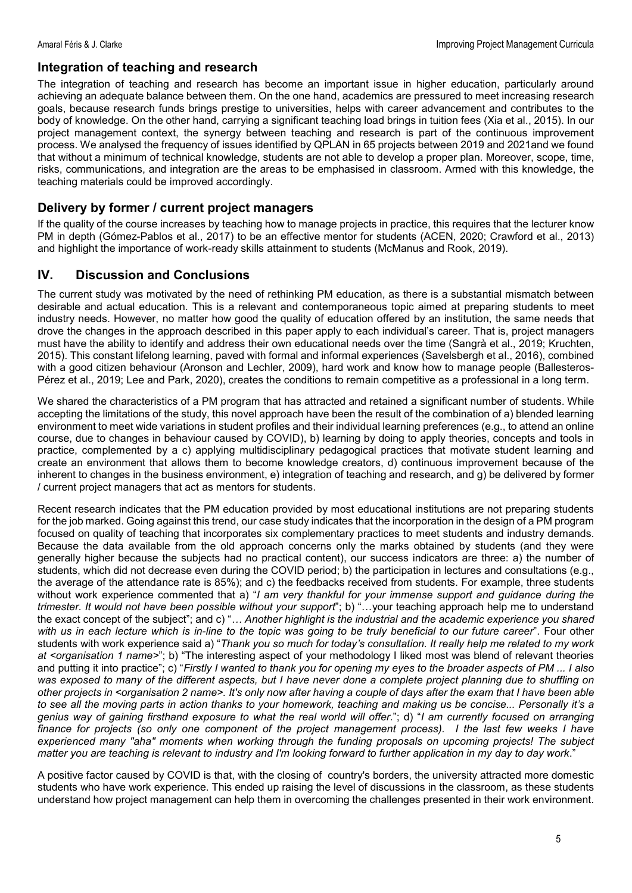#### **Integration of teaching and research**

The integration of teaching and research has become an important issue in higher education, particularly around achieving an adequate balance between them. On the one hand, academics are pressured to meet increasing research goals, because research funds brings prestige to universities, helps with career advancement and contributes to the body of knowledge. On the other hand, carrying a significant teaching load brings in tuition fees (Xia et al., 2015). In our project management context, the synergy between teaching and research is part of the continuous improvement process. We analysed the frequency of issues identified by QPLAN in 65 projects between 2019 and 2021and we found that without a minimum of technical knowledge, students are not able to develop a proper plan. Moreover, scope, time, risks, communications, and integration are the areas to be emphasised in classroom. Armed with this knowledge, the teaching materials could be improved accordingly.

#### **Delivery by former / current project managers**

If the quality of the course increases by teaching how to manage projects in practice, this requires that the lecturer know PM in depth (Gómez-Pablos et al., 2017) to be an effective mentor for students (ACEN, 2020; Crawford et al., 2013) and highlight the importance of work-ready skills attainment to students (McManus and Rook, 2019).

#### **IV. Discussion and Conclusions**

The current study was motivated by the need of rethinking PM education, as there is a substantial mismatch between desirable and actual education. This is a relevant and contemporaneous topic aimed at preparing students to meet industry needs. However, no matter how good the quality of education offered by an institution, the same needs that drove the changes in the approach described in this paper apply to each individual's career. That is, project managers must have the ability to identify and address their own educational needs over the time (Sangrà et al., 2019; Kruchten, 2015). This constant lifelong learning, paved with formal and informal experiences (Savelsbergh et al., 2016), combined with a good citizen behaviour (Aronson and Lechler, 2009), hard work and know how to manage people (Ballesteros-Pérez et al., 2019; Lee and Park, 2020), creates the conditions to remain competitive as a professional in a long term.

We shared the characteristics of a PM program that has attracted and retained a significant number of students. While accepting the limitations of the study, this novel approach have been the result of the combination of a) blended learning environment to meet wide variations in student profiles and their individual learning preferences (e.g., to attend an online course, due to changes in behaviour caused by COVID), b) learning by doing to apply theories, concepts and tools in practice, complemented by a c) applying multidisciplinary pedagogical practices that motivate student learning and create an environment that allows them to become knowledge creators, d) continuous improvement because of the inherent to changes in the business environment, e) integration of teaching and research, and g) be delivered by former / current project managers that act as mentors for students.

Recent research indicates that the PM education provided by most educational institutions are not preparing students for the job marked. Going against this trend, our case study indicates that the incorporation in the design of a PM program focused on quality of teaching that incorporates six complementary practices to meet students and industry demands. Because the data available from the old approach concerns only the marks obtained by students (and they were generally higher because the subjects had no practical content), our success indicators are three: a) the number of students, which did not decrease even during the COVID period; b) the participation in lectures and consultations (e.g., the average of the attendance rate is 85%); and c) the feedbacks received from students. For example, three students without work experience commented that a) "*I am very thankful for your immense support and guidance during the trimester. It would not have been possible without your support*"; b) "…your teaching approach help me to understand the exact concept of the subject"; and c) "*… Another highlight is the industrial and the academic experience you shared with us in each lecture which is in-line to the topic was going to be truly beneficial to our future career*". Four other students with work experience said a) "*Thank you so much for today's consultation. It really help me related to my work at <organisation 1 name>*"; b) "The interesting aspect of your methodology I liked most was blend of relevant theories and putting it into practice"; c) "*Firstly I wanted to thank you for opening my eyes to the broader aspects of PM ... I also was exposed to many of the different aspects, but I have never done a complete project planning due to shuffling on other projects in <organisation 2 name>. It's only now after having a couple of days after the exam that I have been able to see all the moving parts in action thanks to your homework, teaching and making us be concise... Personally it's a genius way of gaining firsthand exposure to what the real world will offer*."; d) "*I am currently focused on arranging*  finance for projects (so only one component of the project management process). I the last few weeks I have *experienced many "aha" moments when working through the funding proposals on upcoming projects! The subject matter you are teaching is relevant to industry and I'm looking forward to further application in my day to day work*."

A positive factor caused by COVID is that, with the closing of country's borders, the university attracted more domestic students who have work experience. This ended up raising the level of discussions in the classroom, as these students understand how project management can help them in overcoming the challenges presented in their work environment.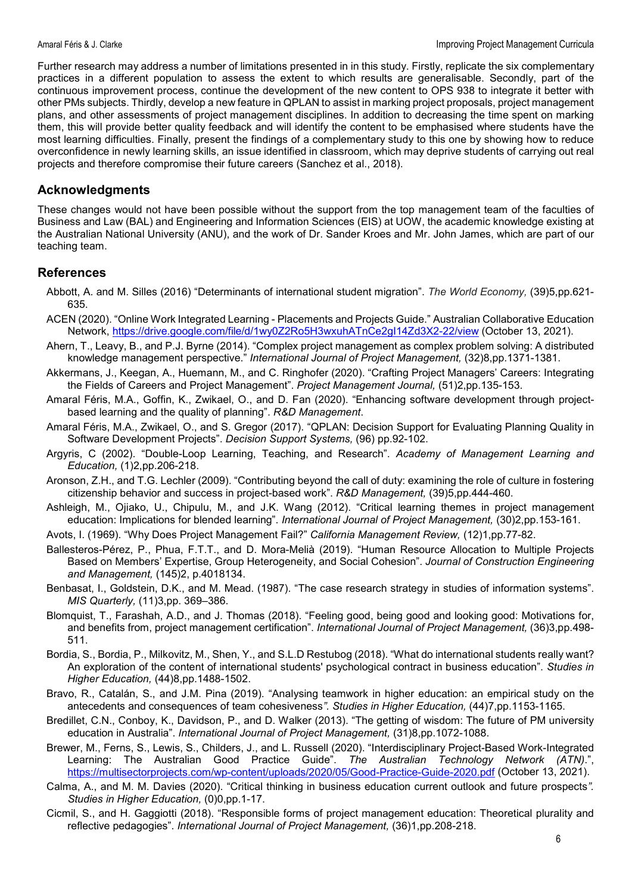Further research may address a number of limitations presented in in this study. Firstly, replicate the six complementary practices in a different population to assess the extent to which results are generalisable. Secondly, part of the continuous improvement process, continue the development of the new content to OPS 938 to integrate it better with other PMs subjects. Thirdly, develop a new feature in QPLAN to assist in marking project proposals, project management plans, and other assessments of project management disciplines. In addition to decreasing the time spent on marking them, this will provide better quality feedback and will identify the content to be emphasised where students have the most learning difficulties. Finally, present the findings of a complementary study to this one by showing how to reduce overconfidence in newly learning skills, an issue identified in classroom, which may deprive students of carrying out real projects and therefore compromise their future careers (Sanchez et al., 2018).

#### **Acknowledgments**

These changes would not have been possible without the support from the top management team of the faculties of Business and Law (BAL) and Engineering and Information Sciences (EIS) at UOW, the academic knowledge existing at the Australian National University (ANU), and the work of Dr. Sander Kroes and Mr. John James, which are part of our teaching team.

#### **References**

- Abbott, A. and M. Silles (2016) "Determinants of international student migration". *The World Economy,* (39)5,pp.621- 635.
- ACEN (2020). "Online Work Integrated Learning Placements and Projects Guide." Australian Collaborative Education Network,<https://drive.google.com/file/d/1wy0Z2Ro5H3wxuhATnCe2gI14Zd3X2-22/view> (October 13, 2021).
- Ahern, T., Leavy, B., and P.J. Byrne (2014). "Complex project management as complex problem solving: A distributed knowledge management perspective." *International Journal of Project Management,* (32)8,pp.1371-1381.
- Akkermans, J., Keegan, A., Huemann, M., and C. Ringhofer (2020). "Crafting Project Managers' Careers: Integrating the Fields of Careers and Project Management". *Project Management Journal,* (51)2,pp.135-153.
- Amaral Féris, M.A., Goffin, K., Zwikael, O., and D. Fan (2020). "Enhancing software development through projectbased learning and the quality of planning". *R&D Management*.
- Amaral Féris, M.A., Zwikael, O., and S. Gregor (2017). "QPLAN: Decision Support for Evaluating Planning Quality in Software Development Projects". *Decision Support Systems,* (96) pp.92-102.
- Argyris, C (2002). "Double-Loop Learning, Teaching, and Research". *Academy of Management Learning and Education,* (1)2,pp.206-218.
- Aronson, Z.H., and T.G. Lechler (2009). "Contributing beyond the call of duty: examining the role of culture in fostering citizenship behavior and success in project-based work". *R&D Management,* (39)5,pp.444-460.
- Ashleigh, M., Ojiako, U., Chipulu, M., and J.K. Wang (2012). "Critical learning themes in project management education: Implications for blended learning". *International Journal of Project Management,* (30)2,pp.153-161.
- Avots, I. (1969). "Why Does Project Management Fail?" *California Management Review,* (12)1,pp.77-82.
- Ballesteros-Pérez, P., Phua, F.T.T., and D. Mora-Melià (2019). "Human Resource Allocation to Multiple Projects Based on Members' Expertise, Group Heterogeneity, and Social Cohesion". *Journal of Construction Engineering and Management,* (145)2, p.4018134.
- Benbasat, I., Goldstein, D.K., and M. Mead. (1987). "The case research strategy in studies of information systems". *MIS Quarterly,* (11)3,pp. 369–386.
- Blomquist, T., Farashah, A.D., and J. Thomas (2018). "Feeling good, being good and looking good: Motivations for, and benefits from, project management certification". *International Journal of Project Management,* (36)3,pp.498- 511.
- Bordia, S., Bordia, P., Milkovitz, M., Shen, Y., and S.L.D Restubog (2018). "What do international students really want? An exploration of the content of international students' psychological contract in business education". *Studies in Higher Education,* (44)8,pp.1488-1502.
- Bravo, R., Catalán, S., and J.M. Pina (2019). "Analysing teamwork in higher education: an empirical study on the antecedents and consequences of team cohesiveness*". Studies in Higher Education,* (44)7,pp.1153-1165.
- Bredillet, C.N., Conboy, K., Davidson, P., and D. Walker (2013). "The getting of wisdom: The future of PM university education in Australia". *International Journal of Project Management,* (31)8,pp.1072-1088.
- Brewer, M., Ferns, S., Lewis, S., Childers, J., and L. Russell (2020). "Interdisciplinary Project-Based Work-Integrated Learning: The Australian Good Practice Guide". *The Australian Technology Network (ATN)*.", <https://multisectorprojects.com/wp-content/uploads/2020/05/Good-Practice-Guide-2020.pdf> (October 13, 2021).
- Calma, A., and M. M. Davies (2020). "Critical thinking in business education current outlook and future prospects*". Studies in Higher Education,* (0)0,pp.1-17.
- Cicmil, S., and H. Gaggiotti (2018). "Responsible forms of project management education: Theoretical plurality and reflective pedagogies". *International Journal of Project Management,* (36)1,pp.208-218.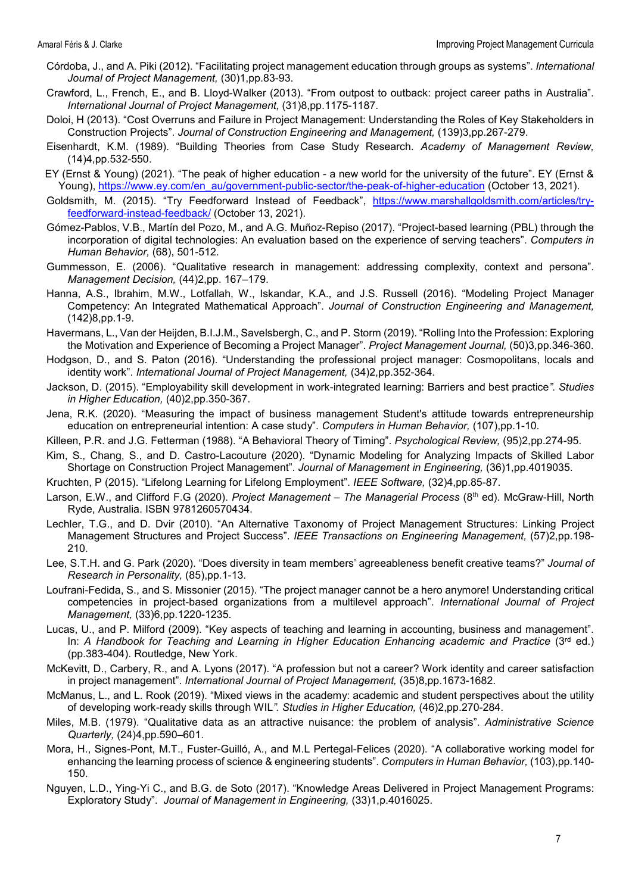- Córdoba, J., and A. Piki (2012). "Facilitating project management education through groups as systems". *International Journal of Project Management,* (30)1,pp.83-93.
- Crawford, L., French, E., and B. Lloyd-Walker (2013). "From outpost to outback: project career paths in Australia". *International Journal of Project Management,* (31)8,pp.1175-1187.
- Doloi, H (2013). "Cost Overruns and Failure in Project Management: Understanding the Roles of Key Stakeholders in Construction Projects". *Journal of Construction Engineering and Management,* (139)3,pp.267-279.
- Eisenhardt, K.M. (1989). "Building Theories from Case Study Research. *Academy of Management Review,* (14)4,pp.532-550.
- EY (Ernst & Young) (2021). "The peak of higher education a new world for the university of the future". EY (Ernst & Young), [https://www.ey.com/en\\_au/government-public-sector/the-peak-of-higher-education](https://www.ey.com/en_au/government-public-sector/the-peak-of-higher-education) (October 13, 2021).
- Goldsmith, M. (2015). "Try Feedforward Instead of Feedback", [https://www.marshallgoldsmith.com/articles/try](https://www.marshallgoldsmith.com/articles/try-feedforward-instead-feedback/)[feedforward-instead-feedback/](https://www.marshallgoldsmith.com/articles/try-feedforward-instead-feedback/) (October 13, 2021).
- Gómez-Pablos, V.B., Martín del Pozo, M., and A.G. Muñoz-Repiso (2017). "Project-based learning (PBL) through the incorporation of digital technologies: An evaluation based on the experience of serving teachers". *Computers in Human Behavior,* (68), 501-512.
- Gummesson, E. (2006). "Qualitative research in management: addressing complexity, context and persona". *Management Decision,* (44)2,pp. 167–179.
- Hanna, A.S., Ibrahim, M.W., Lotfallah, W., Iskandar, K.A., and J.S. Russell (2016). "Modeling Project Manager Competency: An Integrated Mathematical Approach". *Journal of Construction Engineering and Management,* (142)8,pp.1-9.
- Havermans, L., Van der Heijden, B.I.J.M., Savelsbergh, C., and P. Storm (2019). "Rolling Into the Profession: Exploring the Motivation and Experience of Becoming a Project Manager". *Project Management Journal,* (50)3,pp.346-360.
- Hodgson, D., and S. Paton (2016). "Understanding the professional project manager: Cosmopolitans, locals and identity work". *International Journal of Project Management,* (34)2,pp.352-364.
- Jackson, D. (2015). "Employability skill development in work-integrated learning: Barriers and best practice*". Studies in Higher Education,* (40)2,pp.350-367.
- Jena, R.K. (2020). "Measuring the impact of business management Student's attitude towards entrepreneurship education on entrepreneurial intention: A case study". *Computers in Human Behavior,* (107),pp.1-10.
- Killeen, P.R. and J.G. Fetterman (1988). "A Behavioral Theory of Timing". *Psychological Review,* (95)2,pp.274-95.
- Kim, S., Chang, S., and D. Castro-Lacouture (2020). "Dynamic Modeling for Analyzing Impacts of Skilled Labor Shortage on Construction Project Management". *Journal of Management in Engineering,* (36)1,pp.4019035.
- Kruchten, P (2015). "Lifelong Learning for Lifelong Employment". *IEEE Software,* (32)4,pp.85-87.
- Larson, E.W., and Clifford F.G (2020). *Project Management – The Managerial Process* (8th ed). McGraw-Hill, North Ryde, Australia. ISBN 9781260570434.
- Lechler, T.G., and D. Dvir (2010). "An Alternative Taxonomy of Project Management Structures: Linking Project Management Structures and Project Success". *IEEE Transactions on Engineering Management,* (57)2,pp.198- 210.
- Lee, S.T.H. and G. Park (2020). "Does diversity in team members' agreeableness benefit creative teams?" *Journal of Research in Personality,* (85),pp.1-13.
- Loufrani-Fedida, S., and S. Missonier (2015). "The project manager cannot be a hero anymore! Understanding critical competencies in project-based organizations from a multilevel approach". *International Journal of Project Management,* (33)6,pp.1220-1235.
- Lucas, U., and P. Milford (2009). "Key aspects of teaching and learning in accounting, business and management". In: A Handbook for Teaching and Learning in Higher Education Enhancing academic and Practice (3<sup>rd</sup> ed.) (pp.383-404). Routledge, New York.
- McKevitt, D., Carbery, R., and A. Lyons (2017). "A profession but not a career? Work identity and career satisfaction in project management". *International Journal of Project Management,* (35)8,pp.1673-1682.
- McManus, L., and L. Rook (2019). "Mixed views in the academy: academic and student perspectives about the utility of developing work-ready skills through WIL*". Studies in Higher Education,* (46)2,pp.270-284.
- Miles, M.B. (1979). "Qualitative data as an attractive nuisance: the problem of analysis". *Administrative Science Quarterly,* (24)4,pp.590–601.
- Mora, H., Signes-Pont, M.T., Fuster-Guilló, A., and M.L Pertegal-Felices (2020). "A collaborative working model for enhancing the learning process of science & engineering students". *Computers in Human Behavior,* (103),pp.140- 150.
- Nguyen, L.D., Ying-Yi C., and B.G. de Soto (2017). "Knowledge Areas Delivered in Project Management Programs: Exploratory Study". *Journal of Management in Engineering,* (33)1,p.4016025.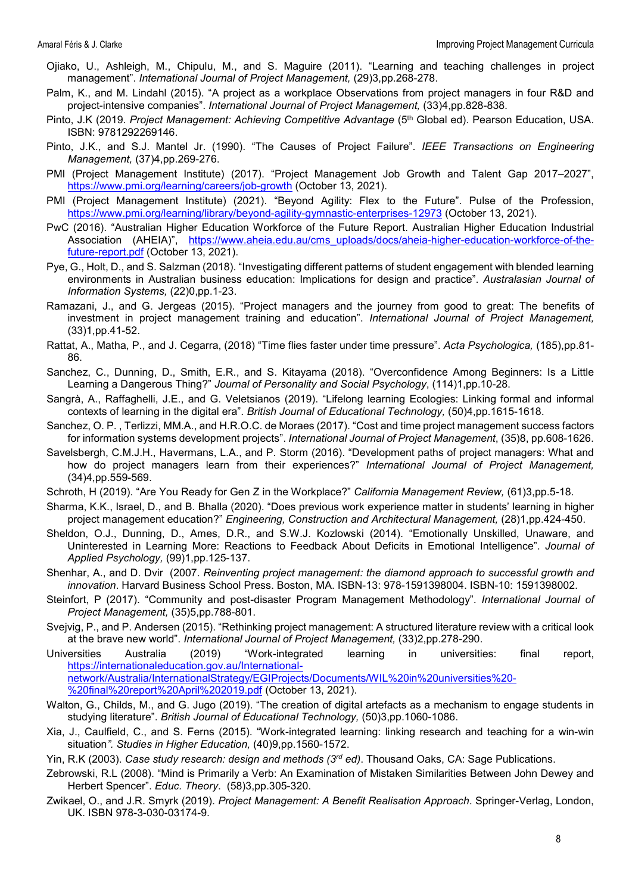- Ojiako, U., Ashleigh, M., Chipulu, M., and S. Maguire (2011). "Learning and teaching challenges in project management". *International Journal of Project Management,* (29)3,pp.268-278.
- Palm, K., and M. Lindahl (2015). "A project as a workplace Observations from project managers in four R&D and project-intensive companies". *International Journal of Project Management,* (33)4,pp.828-838.
- Pinto, J.K (2019. Project Management: Achieving Competitive Advantage (5<sup>th</sup> Global ed). Pearson Education, USA. ISBN: 9781292269146.
- Pinto, J.K., and S.J. Mantel Jr. (1990). "The Causes of Project Failure". *IEEE Transactions on Engineering Management,* (37)4,pp.269-276.
- PMI (Project Management Institute) (2017). "Project Management Job Growth and Talent Gap 2017–2027", <https://www.pmi.org/learning/careers/job-growth> (October 13, 2021).
- PMI (Project Management Institute) (2021). "Beyond Agility: Flex to the Future". Pulse of the Profession, <https://www.pmi.org/learning/library/beyond-agility-gymnastic-enterprises-12973> (October 13, 2021).
- PwC (2016). "Australian Higher Education Workforce of the Future Report. Australian Higher Education Industrial Association (AHEIA)", https://www.aheia.edu.au/cms uploads/docs/aheia-higher-education-workforce-of-the[future-report.pdf](https://www.aheia.edu.au/cms_uploads/docs/aheia-higher-education-workforce-of-the-future-report.pdf) (October 13, 2021).
- Pye, G., Holt, D., and S. Salzman (2018). "Investigating different patterns of student engagement with blended learning environments in Australian business education: Implications for design and practice". *Australasian Journal of Information Systems,* (22)0,pp.1-23.
- Ramazani, J., and G. Jergeas (2015). "Project managers and the journey from good to great: The benefits of investment in project management training and education". *International Journal of Project Management,* (33)1,pp.41-52.
- Rattat, A., Matha, P., and J. Cegarra, (2018) "Time flies faster under time pressure". *Acta Psychologica,* (185),pp.81- 86.
- Sanchez, C., Dunning, D., Smith, E.R., and S. Kitayama (2018). "Overconfidence Among Beginners: Is a Little Learning a Dangerous Thing?" *Journal of Personality and Social Psychology*, (114)1,pp.10-28.
- Sangrà, A., Raffaghelli, J.E., and G. Veletsianos (2019). "Lifelong learning Ecologies: Linking formal and informal contexts of learning in the digital era". *British Journal of Educational Technology,* (50)4,pp.1615-1618.
- Sanchez, O. P. , Terlizzi, MM.A., and H.R.O.C. de Moraes (2017). "Cost and time project management success factors for information systems development projects". *International Journal of Project Management*, (35)8, pp.608-1626.
- Savelsbergh, C.M.J.H., Havermans, L.A., and P. Storm (2016). "Development paths of project managers: What and how do project managers learn from their experiences?" *International Journal of Project Management,* (34)4,pp.559-569.
- Schroth, H (2019). "Are You Ready for Gen Z in the Workplace?" *California Management Review,* (61)3,pp.5-18.
- Sharma, K.K., Israel, D., and B. Bhalla (2020). "Does previous work experience matter in students' learning in higher project management education?" *Engineering, Construction and Architectural Management,* (28)1,pp.424-450.
- Sheldon, O.J., Dunning, D., Ames, D.R., and S.W.J. Kozlowski (2014). "Emotionally Unskilled, Unaware, and Uninterested in Learning More: Reactions to Feedback About Deficits in Emotional Intelligence". *Journal of Applied Psychology,* (99)1,pp.125-137.
- Shenhar, A., and D. Dvir (2007. *Reinventing project management: the diamond approach to successful growth and innovation*. Harvard Business School Press. Boston, MA. ISBN-13: 978-1591398004. ISBN-10: 1591398002.
- Steinfort, P (2017). "Community and post-disaster Program Management Methodology". *International Journal of Project Management,* (35)5,pp.788-801.
- Svejvig, P., and P. Andersen (2015). "Rethinking project management: A structured literature review with a critical look at the brave new world". *International Journal of Project Management,* (33)2,pp.278-290.
- Universities Australia (2019) "Work-integrated learning in universities: final report, [https://internationaleducation.gov.au/International-](https://internationaleducation.gov.au/International-network/Australia/InternationalStrategy/EGIProjects/Documents/WIL%20in%20universities%20-%20final%20report%20April%202019.pdf)

[network/Australia/InternationalStrategy/EGIProjects/Documents/WIL%20in%20universities%20-](https://internationaleducation.gov.au/International-network/Australia/InternationalStrategy/EGIProjects/Documents/WIL%20in%20universities%20-%20final%20report%20April%202019.pdf)

- [%20final%20report%20April%202019.pdf](https://internationaleducation.gov.au/International-network/Australia/InternationalStrategy/EGIProjects/Documents/WIL%20in%20universities%20-%20final%20report%20April%202019.pdf) (October 13, 2021).
- Walton, G., Childs, M., and G. Jugo (2019). "The creation of digital artefacts as a mechanism to engage students in studying literature". *British Journal of Educational Technology,* (50)3,pp.1060-1086.
- Xia, J., Caulfield, C., and S. Ferns (2015). "Work-integrated learning: linking research and teaching for a win-win situation*". Studies in Higher Education,* (40)9,pp.1560-1572.

Yin, R.K (2003). *Case study research: design and methods (3rd ed)*. Thousand Oaks, CA: Sage Publications.

- Zebrowski, R.L (2008). "Mind is Primarily a Verb: An Examination of Mistaken Similarities Between John Dewey and Herbert Spencer". *Educ. Theory*. (58)3,pp.305-320.
- Zwikael, O., and J.R. Smyrk (2019). *Project Management: A Benefit Realisation Approach*. Springer-Verlag, London, UK. ISBN 978-3-030-03174-9.